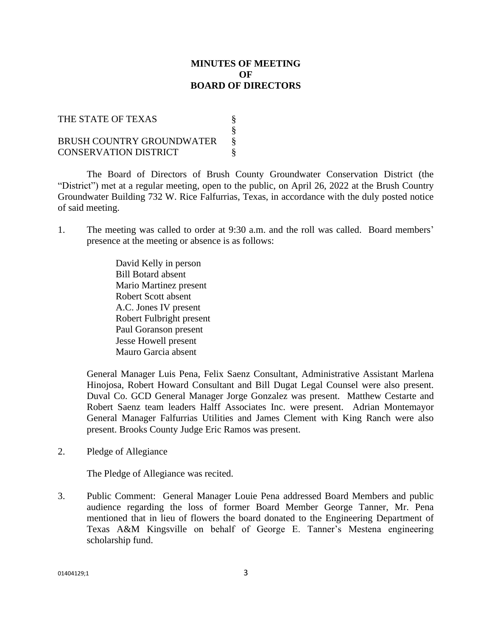## **MINUTES OF MEETING OF BOARD OF DIRECTORS**

| THE STATE OF TEXAS           |  |
|------------------------------|--|
|                              |  |
| BRUSH COUNTRY GROUNDWATER    |  |
| <b>CONSERVATION DISTRICT</b> |  |

The Board of Directors of Brush County Groundwater Conservation District (the "District") met at a regular meeting, open to the public, on April 26, 2022 at the Brush Country Groundwater Building 732 W. Rice Falfurrias, Texas, in accordance with the duly posted notice of said meeting.

1. The meeting was called to order at 9:30 a.m. and the roll was called. Board members' presence at the meeting or absence is as follows:

> David Kelly in person Bill Botard absent Mario Martinez present Robert Scott absent A.C. Jones IV present Robert Fulbright present Paul Goranson present Jesse Howell present Mauro Garcia absent

General Manager Luis Pena, Felix Saenz Consultant, Administrative Assistant Marlena Hinojosa, Robert Howard Consultant and Bill Dugat Legal Counsel were also present. Duval Co. GCD General Manager Jorge Gonzalez was present. Matthew Cestarte and Robert Saenz team leaders Halff Associates Inc. were present. Adrian Montemayor General Manager Falfurrias Utilities and James Clement with King Ranch were also present. Brooks County Judge Eric Ramos was present.

2. Pledge of Allegiance

The Pledge of Allegiance was recited.

3. Public Comment: General Manager Louie Pena addressed Board Members and public audience regarding the loss of former Board Member George Tanner, Mr. Pena mentioned that in lieu of flowers the board donated to the Engineering Department of Texas A&M Kingsville on behalf of George E. Tanner's Mestena engineering scholarship fund.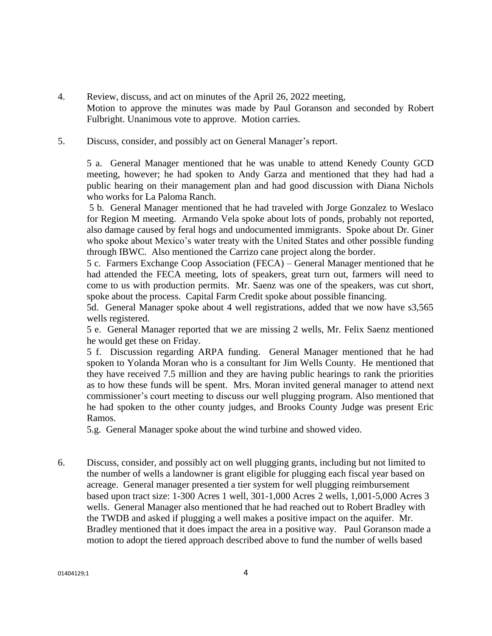- 4. Review, discuss, and act on minutes of the April 26, 2022 meeting, Motion to approve the minutes was made by Paul Goranson and seconded by Robert Fulbright. Unanimous vote to approve. Motion carries.
- 5. Discuss, consider, and possibly act on General Manager's report.

5 a. General Manager mentioned that he was unable to attend Kenedy County GCD meeting, however; he had spoken to Andy Garza and mentioned that they had had a public hearing on their management plan and had good discussion with Diana Nichols who works for La Paloma Ranch.

5 b. General Manager mentioned that he had traveled with Jorge Gonzalez to Weslaco for Region M meeting. Armando Vela spoke about lots of ponds, probably not reported, also damage caused by feral hogs and undocumented immigrants. Spoke about Dr. Giner who spoke about Mexico's water treaty with the United States and other possible funding through IBWC. Also mentioned the Carrizo cane project along the border.

5 c. Farmers Exchange Coop Association (FECA) – General Manager mentioned that he had attended the FECA meeting, lots of speakers, great turn out, farmers will need to come to us with production permits. Mr. Saenz was one of the speakers, was cut short, spoke about the process. Capital Farm Credit spoke about possible financing.

5d. General Manager spoke about 4 well registrations, added that we now have s3,565 wells registered.

5 e. General Manager reported that we are missing 2 wells, Mr. Felix Saenz mentioned he would get these on Friday.

5 f. Discussion regarding ARPA funding. General Manager mentioned that he had spoken to Yolanda Moran who is a consultant for Jim Wells County. He mentioned that they have received 7.5 million and they are having public hearings to rank the priorities as to how these funds will be spent. Mrs. Moran invited general manager to attend next commissioner's court meeting to discuss our well plugging program. Also mentioned that he had spoken to the other county judges, and Brooks County Judge was present Eric Ramos.

5.g. General Manager spoke about the wind turbine and showed video.

6. Discuss, consider, and possibly act on well plugging grants, including but not limited to the number of wells a landowner is grant eligible for plugging each fiscal year based on acreage. General manager presented a tier system for well plugging reimbursement based upon tract size: 1-300 Acres 1 well, 301-1,000 Acres 2 wells, 1,001-5,000 Acres 3 wells. General Manager also mentioned that he had reached out to Robert Bradley with the TWDB and asked if plugging a well makes a positive impact on the aquifer. Mr. Bradley mentioned that it does impact the area in a positive way. Paul Goranson made a motion to adopt the tiered approach described above to fund the number of wells based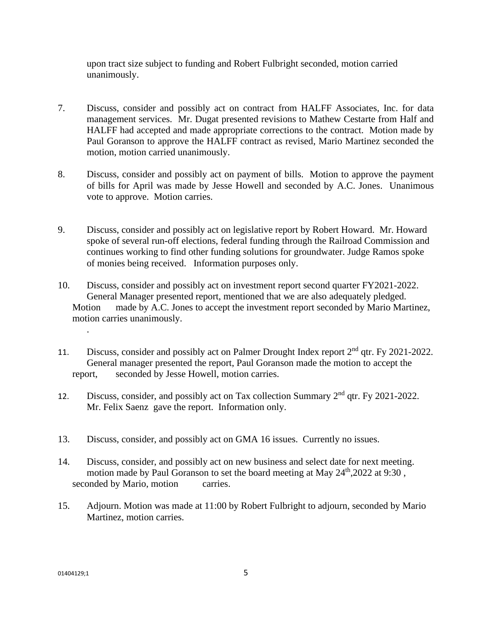upon tract size subject to funding and Robert Fulbright seconded, motion carried unanimously.

- 7. Discuss, consider and possibly act on contract from HALFF Associates, Inc. for data management services. Mr. Dugat presented revisions to Mathew Cestarte from Half and HALFF had accepted and made appropriate corrections to the contract. Motion made by Paul Goranson to approve the HALFF contract as revised, Mario Martinez seconded the motion, motion carried unanimously.
- 8. Discuss, consider and possibly act on payment of bills. Motion to approve the payment of bills for April was made by Jesse Howell and seconded by A.C. Jones. Unanimous vote to approve. Motion carries.
- 9. Discuss, consider and possibly act on legislative report by Robert Howard. Mr. Howard spoke of several run-off elections, federal funding through the Railroad Commission and continues working to find other funding solutions for groundwater. Judge Ramos spoke of monies being received. Information purposes only.
- 10. Discuss, consider and possibly act on investment report second quarter FY2021-2022. General Manager presented report, mentioned that we are also adequately pledged. Motion made by A.C. Jones to accept the investment report seconded by Mario Martinez, motion carries unanimously.
- 11. Discuss, consider and possibly act on Palmer Drought Index report  $2<sup>nd</sup>$  qtr. Fy 2021-2022. General manager presented the report, Paul Goranson made the motion to accept the report, seconded by Jesse Howell, motion carries.
- 12. Discuss, consider, and possibly act on Tax collection Summary 2<sup>nd</sup> qtr. Fy 2021-2022. Mr. Felix Saenz gave the report. Information only.
- 13. Discuss, consider, and possibly act on GMA 16 issues. Currently no issues.
- 14. Discuss, consider, and possibly act on new business and select date for next meeting. motion made by Paul Goranson to set the board meeting at May  $24<sup>th</sup>$ , 2022 at 9:30. seconded by Mario, motion carries.
- 15. Adjourn. Motion was made at 11:00 by Robert Fulbright to adjourn, seconded by Mario Martinez, motion carries.

.